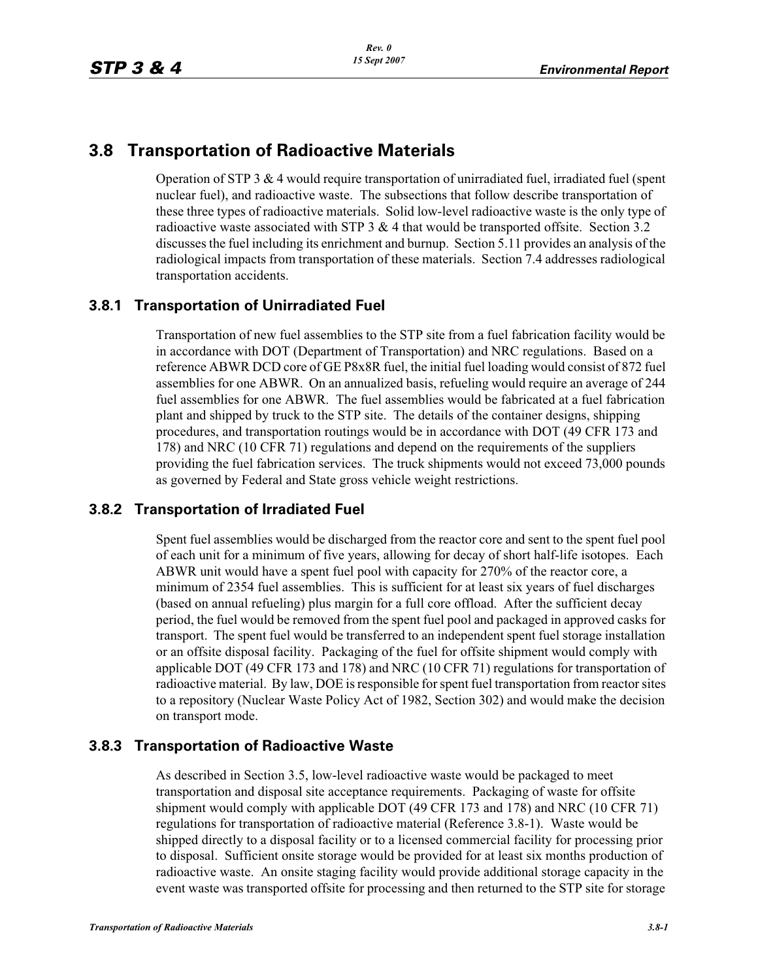# **3.8 Transportation of Radioactive Materials**

Operation of STP 3  $\&$  4 would require transportation of unirradiated fuel, irradiated fuel (spent nuclear fuel), and radioactive waste. The subsections that follow describe transportation of these three types of radioactive materials. Solid low-level radioactive waste is the only type of radioactive waste associated with STP  $3 \& 4$  that would be transported offsite. Section 3.2 discusses the fuel including its enrichment and burnup. Section 5.11 provides an analysis of the radiological impacts from transportation of these materials. Section 7.4 addresses radiological transportation accidents.

### **3.8.1 Transportation of Unirradiated Fuel**

Transportation of new fuel assemblies to the STP site from a fuel fabrication facility would be in accordance with DOT (Department of Transportation) and NRC regulations. Based on a reference ABWR DCD core of GE P8x8R fuel, the initial fuel loading would consist of 872 fuel assemblies for one ABWR. On an annualized basis, refueling would require an average of 244 fuel assemblies for one ABWR. The fuel assemblies would be fabricated at a fuel fabrication plant and shipped by truck to the STP site. The details of the container designs, shipping procedures, and transportation routings would be in accordance with DOT (49 CFR 173 and 178) and NRC (10 CFR 71) regulations and depend on the requirements of the suppliers providing the fuel fabrication services. The truck shipments would not exceed 73,000 pounds as governed by Federal and State gross vehicle weight restrictions.

### **3.8.2 Transportation of Irradiated Fuel**

Spent fuel assemblies would be discharged from the reactor core and sent to the spent fuel pool of each unit for a minimum of five years, allowing for decay of short half-life isotopes. Each ABWR unit would have a spent fuel pool with capacity for 270% of the reactor core, a minimum of 2354 fuel assemblies. This is sufficient for at least six years of fuel discharges (based on annual refueling) plus margin for a full core offload. After the sufficient decay period, the fuel would be removed from the spent fuel pool and packaged in approved casks for transport. The spent fuel would be transferred to an independent spent fuel storage installation or an offsite disposal facility. Packaging of the fuel for offsite shipment would comply with applicable DOT (49 CFR 173 and 178) and NRC (10 CFR 71) regulations for transportation of radioactive material. By law, DOE is responsible for spent fuel transportation from reactor sites to a repository (Nuclear Waste Policy Act of 1982, Section 302) and would make the decision on transport mode.

### **3.8.3 Transportation of Radioactive Waste**

As described in Section 3.5, low-level radioactive waste would be packaged to meet transportation and disposal site acceptance requirements. Packaging of waste for offsite shipment would comply with applicable DOT (49 CFR 173 and 178) and NRC (10 CFR 71) regulations for transportation of radioactive material (Reference 3.8-1). Waste would be shipped directly to a disposal facility or to a licensed commercial facility for processing prior to disposal. Sufficient onsite storage would be provided for at least six months production of radioactive waste. An onsite staging facility would provide additional storage capacity in the event waste was transported offsite for processing and then returned to the STP site for storage